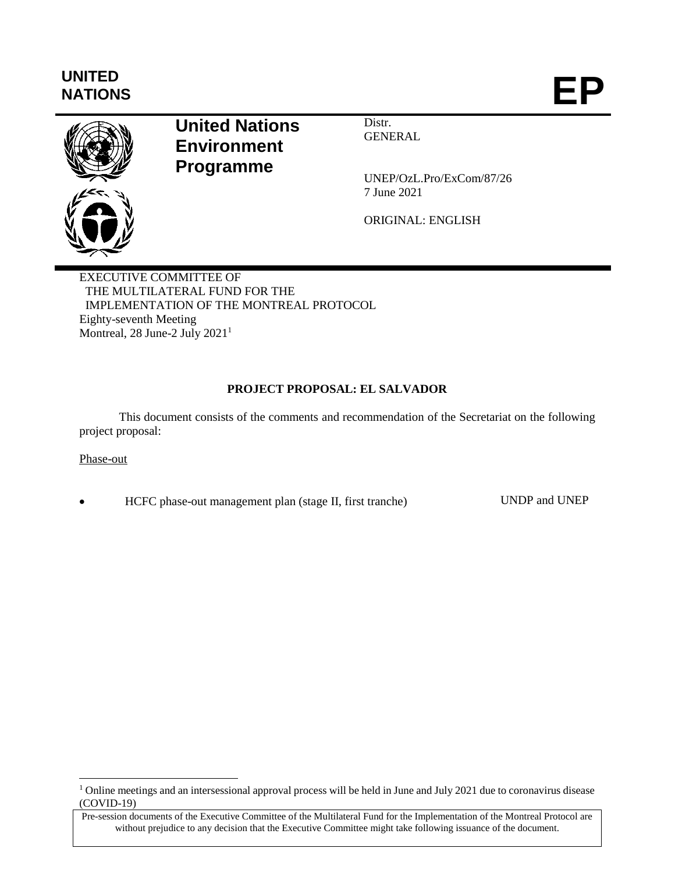# **UNITED** NATIONS **EP**



## **United Nations Environment Programme**

Distr. **GENERAL** 

UNEP/OzL.Pro/ExCom/87/26 7 June 2021

ORIGINAL: ENGLISH

EXECUTIVE COMMITTEE OF THE MULTILATERAL FUND FOR THE IMPLEMENTATION OF THE MONTREAL PROTOCOL Eighty-seventh Meeting Montreal, 28 June-2 July 2021<sup>1</sup>

## **PROJECT PROPOSAL: EL SALVADOR**

This document consists of the comments and recommendation of the Secretariat on the following project proposal:

## Phase-out

 $\overline{a}$ 

HCFC phase-out management plan (stage II, first tranche) UNDP and UNEP

<sup>&</sup>lt;sup>1</sup> Online meetings and an intersessional approval process will be held in June and July 2021 due to coronavirus disease (COVID-19)

Pre-session documents of the Executive Committee of the Multilateral Fund for the Implementation of the Montreal Protocol are without prejudice to any decision that the Executive Committee might take following issuance of the document.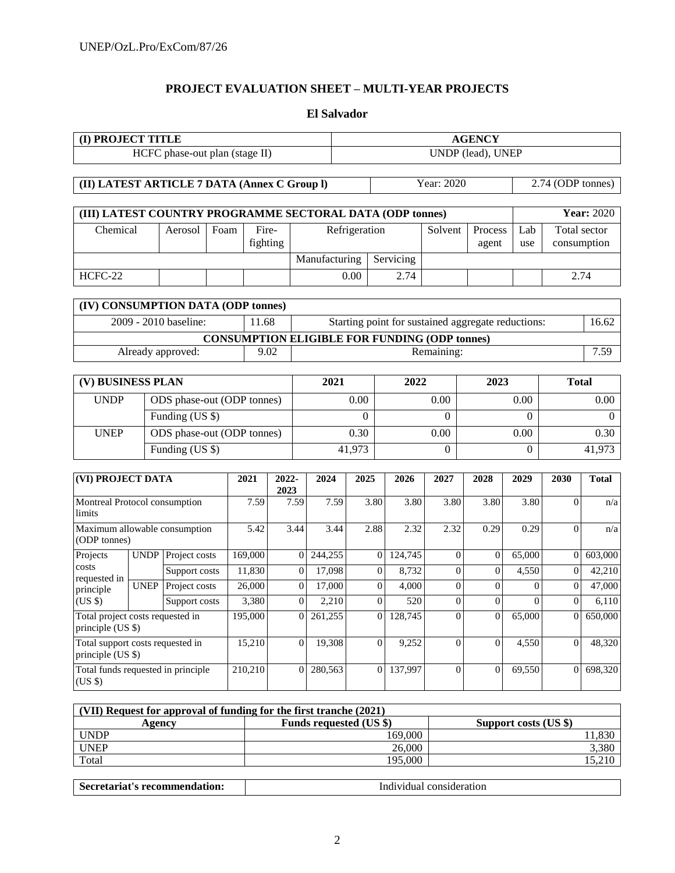## **PROJECT EVALUATION SHEET – MULTI-YEAR PROJECTS**

## **El Salvador**

| (I) PROJECT TITLE                                         |             |                                |      |          |               |                  | <b>AGENCY</b> |                   |                |                  |                                                      |                |          |                     |                   |  |
|-----------------------------------------------------------|-------------|--------------------------------|------|----------|---------------|------------------|---------------|-------------------|----------------|------------------|------------------------------------------------------|----------------|----------|---------------------|-------------------|--|
|                                                           |             | HCFC phase-out plan (stage II) |      |          |               |                  |               | UNDP (lead), UNEP |                |                  |                                                      |                |          |                     |                   |  |
|                                                           |             |                                |      |          |               |                  |               |                   |                |                  |                                                      |                |          |                     |                   |  |
| (II) LATEST ARTICLE 7 DATA (Annex C Group I)              |             |                                |      |          |               |                  |               |                   |                |                  | Year: 2020                                           |                |          | 2.74 (ODP tonnes)   |                   |  |
|                                                           |             |                                |      |          |               |                  |               |                   |                |                  |                                                      |                |          |                     |                   |  |
| (III) LATEST COUNTRY PROGRAMME SECTORAL DATA (ODP tonnes) |             |                                |      |          |               |                  |               |                   |                |                  |                                                      |                |          |                     | <b>Year: 2020</b> |  |
| Chemical                                                  |             | Aerosol                        | Foam | Fire-    |               |                  |               | Refrigeration     |                |                  | Solvent                                              | Process        |          | Total sector<br>Lab |                   |  |
|                                                           |             |                                |      | fighting |               |                  |               |                   |                |                  |                                                      | agent          | use      | consumption         |                   |  |
|                                                           |             |                                |      |          |               |                  | Manufacturing |                   |                | Servicing        |                                                      |                |          |                     |                   |  |
| HCFC-22                                                   |             |                                |      |          |               |                  |               | 0.00              |                | 2.74             |                                                      |                |          | 2.74                |                   |  |
| (IV) CONSUMPTION DATA (ODP tonnes)                        |             |                                |      |          |               |                  |               |                   |                |                  |                                                      |                |          |                     |                   |  |
|                                                           |             | 2009 - 2010 baseline:          |      | 11.68    |               |                  |               |                   |                |                  | Starting point for sustained aggregate reductions:   |                |          |                     | 16.62             |  |
|                                                           |             |                                |      |          |               |                  |               |                   |                |                  | <b>CONSUMPTION ELIGIBLE FOR FUNDING (ODP tonnes)</b> |                |          |                     |                   |  |
|                                                           |             | Already approved:              |      | 9.02     |               |                  |               |                   |                |                  | Remaining:                                           |                |          |                     | 7.59              |  |
|                                                           |             |                                |      |          |               |                  |               |                   |                |                  |                                                      |                |          |                     |                   |  |
| (V) BUSINESS PLAN                                         |             |                                |      |          |               | 2021             |               |                   |                | 2022             |                                                      | 2023           |          | <b>Total</b>        |                   |  |
| <b>UNDP</b>                                               |             | ODS phase-out (ODP tonnes)     |      |          |               |                  |               | 0.00              |                |                  | 0.00                                                 |                | 0.00     |                     | 0.00              |  |
|                                                           |             | Funding (US \$)                |      |          |               |                  |               | $\Omega$          |                |                  | $\Omega$                                             |                | $\theta$ |                     | $\Omega$          |  |
| <b>UNEP</b>                                               |             | ODS phase-out (ODP tonnes)     |      |          |               |                  |               | 0.30              |                |                  | 0.00                                                 |                | 0.00     |                     | 0.30              |  |
|                                                           |             | Funding (US \$)                |      |          |               | 41,973           |               |                   |                | $\boldsymbol{0}$ |                                                      | $\theta$       | 41,973   |                     |                   |  |
|                                                           |             |                                |      |          |               |                  |               |                   |                |                  |                                                      |                |          |                     |                   |  |
| (VI) PROJECT DATA                                         |             |                                |      | 2021     | 2022-<br>2023 |                  | 2024          | 2025              |                | 2026             | 2027                                                 | 2028           | 2029     | 2030                | <b>Total</b>      |  |
| Montreal Protocol consumption<br>limits                   |             |                                |      | 7.59     |               | 7.59             | 7.59          |                   | 3.80           | 3.80             | 3.80                                                 | 3.80           | 3.80     | $\theta$            | n/a               |  |
| Maximum allowable consumption<br>(ODP tonnes)             |             |                                |      | 5.42     |               | 3.44             | 3.44          |                   | 2.88           | 2.32             | 2.32                                                 | 0.29           | 0.29     | $\theta$            | n/a               |  |
| Projects                                                  | <b>UNDP</b> | Project costs                  |      | 169,000  |               | $\overline{0}$   | 244,255       |                   | $\overline{0}$ | 124,745          | $\overline{0}$                                       | $\theta$       | 65,000   | $\mathbf{0}$        | 603,000           |  |
| costs<br>requested in                                     |             | Support costs                  |      | 11,830   |               | $\overline{0}$   | 17,098        |                   | $\overline{0}$ | 8,732            | $\theta$                                             | $\overline{0}$ | 4,550    | $\overline{0}$      | 42,210            |  |
| principle                                                 | <b>UNEP</b> | Project costs                  |      | 26,000   |               | $\overline{0}$   | 17,000        |                   | $\overline{0}$ | 4,000            | $\overline{0}$                                       | $\overline{0}$ | $\theta$ | $\overline{0}$      | 47,000            |  |
| $(US \, \hat{s})$                                         |             | Support costs                  |      | 3,380    |               | $\boldsymbol{0}$ | 2,210         |                   | $\overline{0}$ | 520              | $\mathbf{0}$                                         | $\overline{0}$ | $\theta$ | $\boldsymbol{0}$    | 6,110             |  |
| Total project costs requested in<br>principle (US \$)     |             |                                |      | 195,000  |               | $\overline{0}$   | 261,255       |                   | $\theta$       | 128,745          | $\theta$                                             | $\theta$       | 65,000   | $\overline{0}$      | 650,000           |  |
| Total support costs requested in<br>principle (US \$)     |             |                                |      | 15,210   |               | $\overline{0}$   | 19,308        |                   | $\mathbf{0}$   | 9,252            | $\overline{0}$                                       | $\overline{0}$ | 4,550    | $\overline{0}$      | 48,320            |  |
| Total funds requested in principle<br>(US \$)             |             |                                |      | 210,210  |               | $\overline{0}$   | 280,563       |                   | $\overline{0}$ | 137,997          | $\overline{0}$                                       | $\overline{0}$ | 69,550   | $\overline{0}$      | 698,320           |  |

| (VII) Request for approval of funding for the first tranche (2021) |                       |  |  |  |  |  |  |  |  |
|--------------------------------------------------------------------|-----------------------|--|--|--|--|--|--|--|--|
| <b>Funds requested (US \$)</b>                                     | Support costs (US \$) |  |  |  |  |  |  |  |  |
| 169.000                                                            | 1,830                 |  |  |  |  |  |  |  |  |
| 26,000                                                             | 3,380                 |  |  |  |  |  |  |  |  |
| 195.000                                                            |                       |  |  |  |  |  |  |  |  |
|                                                                    |                       |  |  |  |  |  |  |  |  |

| Secretariat's recommendation: | Individual consideration |
|-------------------------------|--------------------------|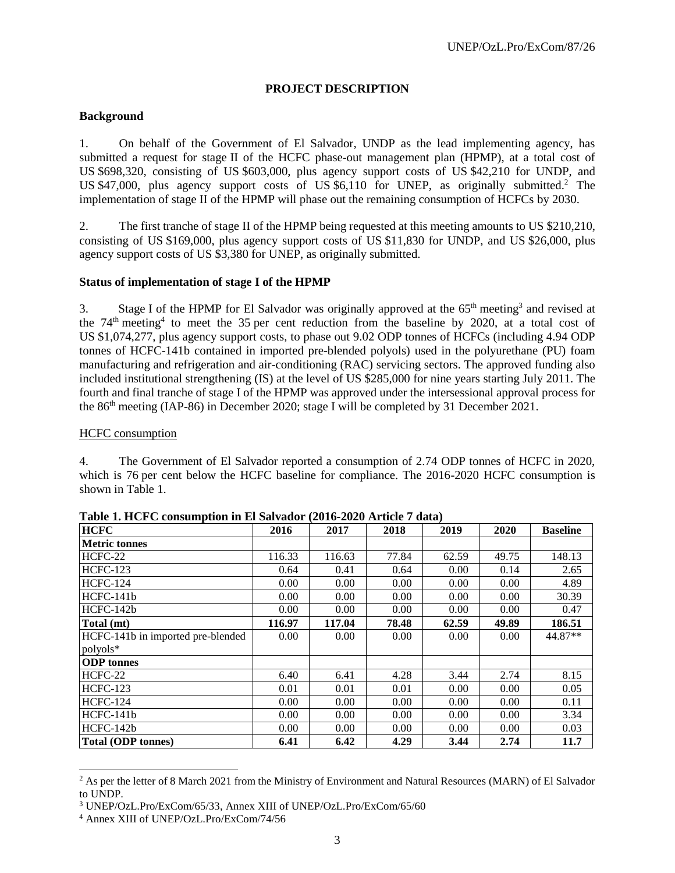## **PROJECT DESCRIPTION**

## **Background**

1. On behalf of the Government of El Salvador, UNDP as the lead implementing agency, has submitted a request for stage II of the HCFC phase-out management plan (HPMP), at a total cost of US \$698,320, consisting of US \$603,000, plus agency support costs of US \$42,210 for UNDP, and US \$47,000, plus agency support costs of US \$6,110 for UNEP, as originally submitted.<sup>2</sup> The implementation of stage II of the HPMP will phase out the remaining consumption of HCFCs by 2030.

2. The first tranche of stage II of the HPMP being requested at this meeting amounts to US \$210,210, consisting of US \$169,000, plus agency support costs of US \$11,830 for UNDP, and US \$26,000, plus agency support costs of US \$3,380 for UNEP, as originally submitted.

#### **Status of implementation of stage I of the HPMP**

3. Stage I of the HPMP for El Salvador was originally approved at the  $65<sup>th</sup>$  meeting<sup>3</sup> and revised at the  $74<sup>th</sup>$  meeting<sup>4</sup> to meet the 35 per cent reduction from the baseline by 2020, at a total cost of US \$1,074,277, plus agency support costs, to phase out 9.02 ODP tonnes of HCFCs (including 4.94 ODP tonnes of HCFC-141b contained in imported pre-blended polyols) used in the polyurethane (PU) foam manufacturing and refrigeration and air-conditioning (RAC) servicing sectors. The approved funding also included institutional strengthening (IS) at the level of US \$285,000 for nine years starting July 2011. The fourth and final tranche of stage I of the HPMP was approved under the intersessional approval process for the 86<sup>th</sup> meeting (IAP-86) in December 2020; stage I will be completed by 31 December 2021.

#### HCFC consumption

4. The Government of El Salvador reported a consumption of 2.74 ODP tonnes of HCFC in 2020, which is 76 per cent below the HCFC baseline for compliance. The 2016-2020 HCFC consumption is shown in Table 1.

| rapic 1. Here Consumption in Li Sarragor (2010-2020 Article / Gata) |        |        |       |       |       |                 |
|---------------------------------------------------------------------|--------|--------|-------|-------|-------|-----------------|
| <b>HCFC</b>                                                         | 2016   | 2017   | 2018  | 2019  | 2020  | <b>Baseline</b> |
| <b>Metric tonnes</b>                                                |        |        |       |       |       |                 |
| HCFC-22                                                             | 116.33 | 116.63 | 77.84 | 62.59 | 49.75 | 148.13          |
| <b>HCFC-123</b>                                                     | 0.64   | 0.41   | 0.64  | 0.00  | 0.14  | 2.65            |
| <b>HCFC-124</b>                                                     | 0.00   | 0.00   | 0.00  | 0.00  | 0.00  | 4.89            |
| HCFC-141b                                                           | 0.00   | 0.00   | 0.00  | 0.00  | 0.00  | 30.39           |
| HCFC-142b                                                           | 0.00   | 0.00   | 0.00  | 0.00  | 0.00  | 0.47            |
| Total (mt)                                                          | 116.97 | 117.04 | 78.48 | 62.59 | 49.89 | 186.51          |
| HCFC-141b in imported pre-blended                                   | 0.00   | 0.00   | 0.00  | 0.00  | 0.00  | 44.87**         |
| polyols*                                                            |        |        |       |       |       |                 |
| <b>ODP</b> tonnes                                                   |        |        |       |       |       |                 |
| HCFC-22                                                             | 6.40   | 6.41   | 4.28  | 3.44  | 2.74  | 8.15            |
| <b>HCFC-123</b>                                                     | 0.01   | 0.01   | 0.01  | 0.00  | 0.00  | 0.05            |
| <b>HCFC-124</b>                                                     | 0.00   | 0.00   | 0.00  | 0.00  | 0.00  | 0.11            |
| $HCFC-141b$                                                         | 0.00   | 0.00   | 0.00  | 0.00  | 0.00  | 3.34            |
| HCFC-142b                                                           | 0.00   | 0.00   | 0.00  | 0.00  | 0.00  | 0.03            |
| <b>Total (ODP tonnes)</b>                                           | 6.41   | 6.42   | 4.29  | 3.44  | 2.74  | 11.7            |

**Table 1. HCFC consumption in El Salvador (2016-2020 Article 7 data)**

l

<sup>&</sup>lt;sup>2</sup> As per the letter of 8 March 2021 from the Ministry of Environment and Natural Resources (MARN) of El Salvador to UNDP.

<sup>3</sup> UNEP/OzL.Pro/ExCom/65/33, Annex XIII of UNEP/OzL.Pro/ExCom/65/60

<sup>4</sup> Annex XIII of UNEP/OzL.Pro/ExCom/74/56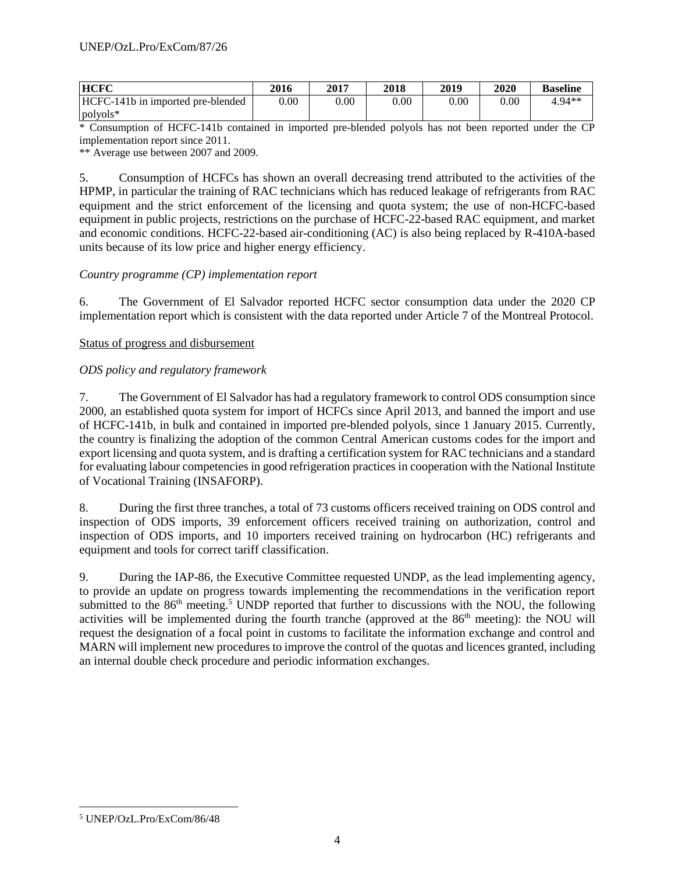| <b>HCFC</b>                       | 2016     | 2017 | 2018 | 2019 | <b>2020</b> | <b>Baseline</b> |
|-----------------------------------|----------|------|------|------|-------------|-----------------|
| HCFC-141b in imported pre-blended | $0.00\,$ | 0.00 | 0.00 | 0.00 | $0.00\,$    | 1.94**          |
| polyols*                          |          |      |      |      |             |                 |

\* Consumption of HCFC-141b contained in imported pre-blended polyols has not been reported under the CP implementation report since 2011.

\*\* Average use between 2007 and 2009.

5. Consumption of HCFCs has shown an overall decreasing trend attributed to the activities of the HPMP, in particular the training of RAC technicians which has reduced leakage of refrigerants from RAC equipment and the strict enforcement of the licensing and quota system; the use of non-HCFC-based equipment in public projects, restrictions on the purchase of HCFC-22-based RAC equipment, and market and economic conditions. HCFC-22-based air-conditioning (AC) is also being replaced by R-410A-based units because of its low price and higher energy efficiency.

## *Country programme (CP) implementation report*

6. The Government of El Salvador reported HCFC sector consumption data under the 2020 CP implementation report which is consistent with the data reported under Article 7 of the Montreal Protocol.

## Status of progress and disbursement

## *ODS policy and regulatory framework*

7. The Government of El Salvador has had a regulatory framework to control ODS consumption since 2000, an established quota system for import of HCFCs since April 2013, and banned the import and use of HCFC-141b, in bulk and contained in imported pre-blended polyols, since 1 January 2015. Currently, the country is finalizing the adoption of the common Central American customs codes for the import and export licensing and quota system, and is drafting a certification system for RAC technicians and a standard for evaluating labour competencies in good refrigeration practices in cooperation with the National Institute of Vocational Training (INSAFORP).

8. During the first three tranches, a total of 73 customs officers received training on ODS control and inspection of ODS imports, 39 enforcement officers received training on authorization, control and inspection of ODS imports, and 10 importers received training on hydrocarbon (HC) refrigerants and equipment and tools for correct tariff classification.

9. During the IAP-86, the Executive Committee requested UNDP, as the lead implementing agency, to provide an update on progress towards implementing the recommendations in the verification report submitted to the 86<sup>th</sup> meeting.<sup>5</sup> UNDP reported that further to discussions with the NOU, the following activities will be implemented during the fourth tranche (approved at the 86<sup>th</sup> meeting): the NOU will request the designation of a focal point in customs to facilitate the information exchange and control and MARN will implement new procedures to improve the control of the quotas and licences granted, including an internal double check procedure and periodic information exchanges.

 $\overline{a}$ <sup>5</sup> UNEP/OzL.Pro/ExCom/86/48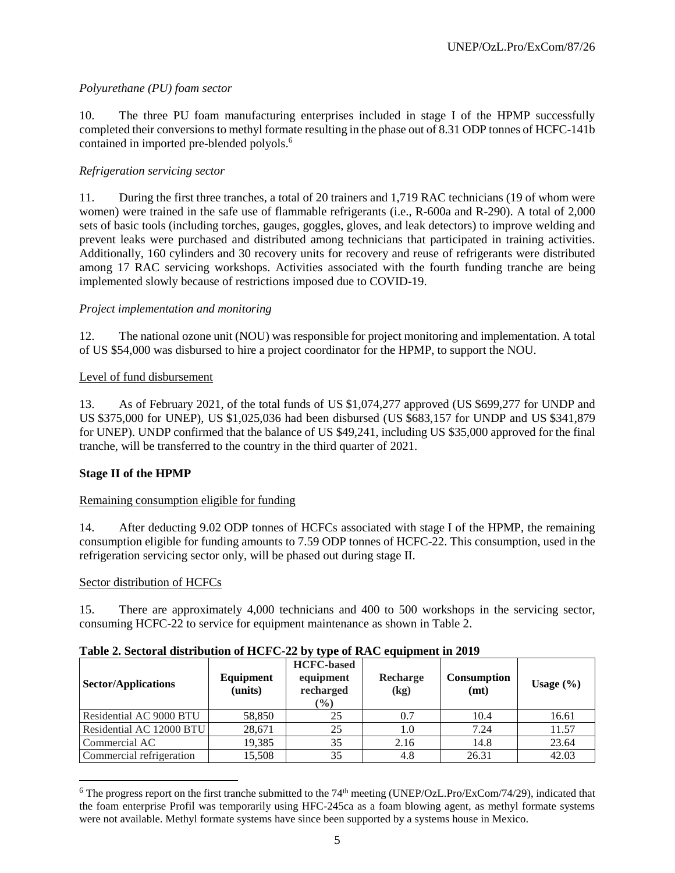## *Polyurethane (PU) foam sector*

10. The three PU foam manufacturing enterprises included in stage I of the HPMP successfully completed their conversions to methyl formate resulting in the phase out of 8.31 ODP tonnes of HCFC-141b contained in imported pre-blended polyols.<sup>6</sup>

## *Refrigeration servicing sector*

11. During the first three tranches, a total of 20 trainers and 1,719 RAC technicians (19 of whom were women) were trained in the safe use of flammable refrigerants (i.e., R-600a and R-290). A total of 2,000 sets of basic tools (including torches, gauges, goggles, gloves, and leak detectors) to improve welding and prevent leaks were purchased and distributed among technicians that participated in training activities. Additionally, 160 cylinders and 30 recovery units for recovery and reuse of refrigerants were distributed among 17 RAC servicing workshops. Activities associated with the fourth funding tranche are being implemented slowly because of restrictions imposed due to COVID-19.

## *Project implementation and monitoring*

12. The national ozone unit (NOU) was responsible for project monitoring and implementation. A total of US \$54,000 was disbursed to hire a project coordinator for the HPMP, to support the NOU.

## Level of fund disbursement

13. As of February 2021, of the total funds of US \$1,074,277 approved (US \$699,277 for UNDP and US \$375,000 for UNEP), US \$1,025,036 had been disbursed (US \$683,157 for UNDP and US \$341,879 for UNEP). UNDP confirmed that the balance of US \$49,241, including US \$35,000 approved for the final tranche, will be transferred to the country in the third quarter of 2021.

## **Stage II of the HPMP**

## Remaining consumption eligible for funding

14. After deducting 9.02 ODP tonnes of HCFCs associated with stage I of the HPMP, the remaining consumption eligible for funding amounts to 7.59 ODP tonnes of HCFC-22. This consumption, used in the refrigeration servicing sector only, will be phased out during stage II.

## Sector distribution of HCFCs

l

15. There are approximately 4,000 technicians and 400 to 500 workshops in the servicing sector, consuming HCFC-22 to service for equipment maintenance as shown in Table 2.

| <b>Sector/Applications</b> | Equipment<br>(units) | <b>HCFC-based</b><br>equipment<br>recharged<br>$\frac{6}{6}$ | Recharge<br>(kg) | <b>Consumption</b><br>(mt) | Usage $(\% )$ |  |
|----------------------------|----------------------|--------------------------------------------------------------|------------------|----------------------------|---------------|--|
| Residential AC 9000 BTU    | 58,850               | 25                                                           | 0.7              | 10.4                       | 16.61         |  |
| Residential AC 12000 BTU   | 28,671               | 25                                                           | 1.0              | 7.24                       | 11.57         |  |
| Commercial AC              | 19,385               | 35                                                           | 2.16             | 14.8                       | 23.64         |  |
| Commercial refrigeration   | 15,508               | 35                                                           | 4.8              | 26.31                      | 42.03         |  |

## **Table 2. Sectoral distribution of HCFC-22 by type of RAC equipment in 2019**

 $6$  The progress report on the first tranche submitted to the  $74<sup>th</sup>$  meeting (UNEP/OzL.Pro/ExCom/74/29), indicated that the foam enterprise Profil was temporarily using HFC-245ca as a foam blowing agent, as methyl formate systems were not available. Methyl formate systems have since been supported by a systems house in Mexico.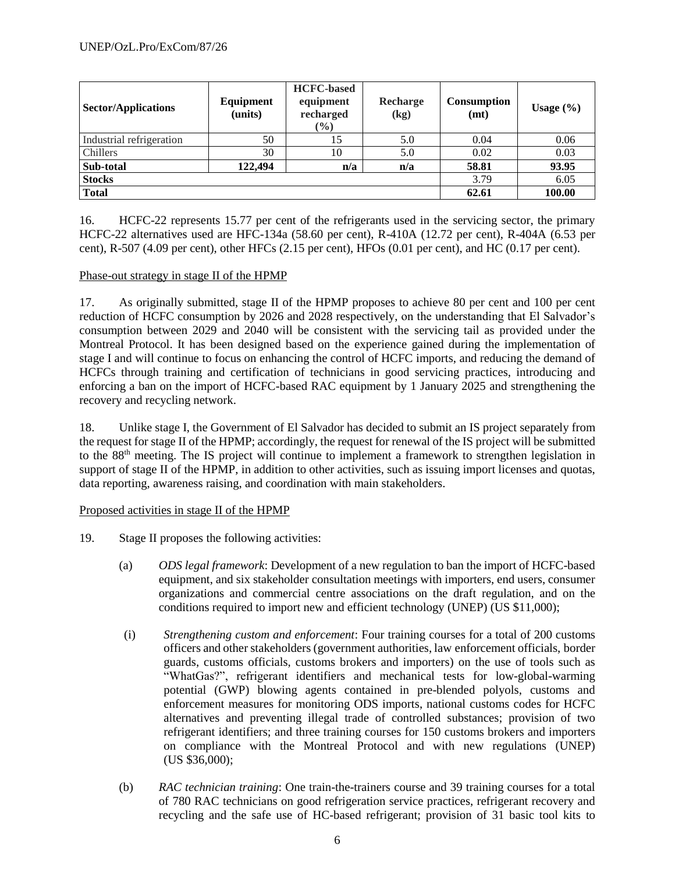| <b>Sector/Applications</b> | Equipment<br>(units) | <b>HCFC-based</b><br>equipment<br>recharged<br>$(\%)$ | Recharge<br>(kg) | <b>Consumption</b><br>(mt) | Usage $(\% )$ |
|----------------------------|----------------------|-------------------------------------------------------|------------------|----------------------------|---------------|
| Industrial refrigeration   | 50                   | 15                                                    | 5.0              | 0.04                       | 0.06          |
| Chillers                   | 30                   | 10                                                    | 5.0              | 0.02                       | 0.03          |
| Sub-total                  | 122,494              | n/a                                                   | n/a              | 58.81                      | 93.95         |
| <b>Stocks</b>              |                      |                                                       |                  | 3.79                       | 6.05          |
| <b>Total</b>               |                      |                                                       |                  | 62.61                      | 100.00        |

16. HCFC-22 represents 15.77 per cent of the refrigerants used in the servicing sector, the primary HCFC-22 alternatives used are HFC-134a (58.60 per cent), R-410A (12.72 per cent), R-404A (6.53 per cent), R-507 (4.09 per cent), other HFCs (2.15 per cent), HFOs (0.01 per cent), and HC (0.17 per cent).

## Phase-out strategy in stage II of the HPMP

17. As originally submitted, stage II of the HPMP proposes to achieve 80 per cent and 100 per cent reduction of HCFC consumption by 2026 and 2028 respectively, on the understanding that El Salvador's consumption between 2029 and 2040 will be consistent with the servicing tail as provided under the Montreal Protocol. It has been designed based on the experience gained during the implementation of stage I and will continue to focus on enhancing the control of HCFC imports, and reducing the demand of HCFCs through training and certification of technicians in good servicing practices, introducing and enforcing a ban on the import of HCFC-based RAC equipment by 1 January 2025 and strengthening the recovery and recycling network.

18. Unlike stage I, the Government of El Salvador has decided to submit an IS project separately from the request for stage II of the HPMP; accordingly, the request for renewal of the IS project will be submitted to the 88th meeting. The IS project will continue to implement a framework to strengthen legislation in support of stage II of the HPMP, in addition to other activities, such as issuing import licenses and quotas, data reporting, awareness raising, and coordination with main stakeholders.

## Proposed activities in stage II of the HPMP

- 19. Stage II proposes the following activities:
	- (a) *ODS legal framework*: Development of a new regulation to ban the import of HCFC-based equipment, and six stakeholder consultation meetings with importers, end users, consumer organizations and commercial centre associations on the draft regulation, and on the conditions required to import new and efficient technology (UNEP) (US \$11,000);
	- (i) *Strengthening custom and enforcement*: Four training courses for a total of 200 customs officers and other stakeholders (government authorities, law enforcement officials, border guards, customs officials, customs brokers and importers) on the use of tools such as "WhatGas?", refrigerant identifiers and mechanical tests for low-global-warming potential (GWP) blowing agents contained in pre-blended polyols, customs and enforcement measures for monitoring ODS imports, national customs codes for HCFC alternatives and preventing illegal trade of controlled substances; provision of two refrigerant identifiers; and three training courses for 150 customs brokers and importers on compliance with the Montreal Protocol and with new regulations (UNEP) (US \$36,000);
	- (b) *RAC technician training*: One train-the-trainers course and 39 training courses for a total of 780 RAC technicians on good refrigeration service practices, refrigerant recovery and recycling and the safe use of HC-based refrigerant; provision of 31 basic tool kits to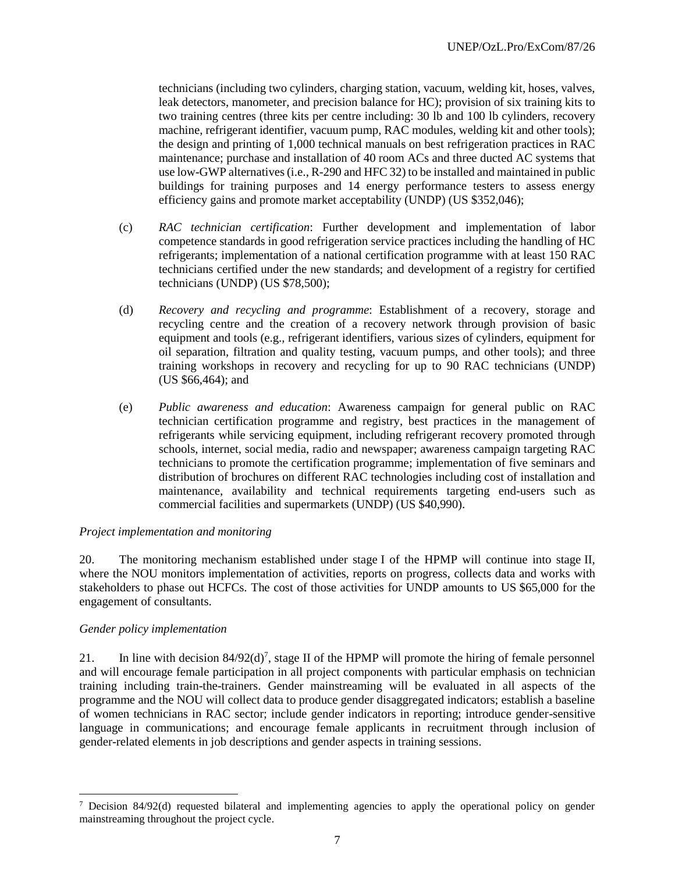technicians (including two cylinders, charging station, vacuum, welding kit, hoses, valves, leak detectors, manometer, and precision balance for HC); provision of six training kits to two training centres (three kits per centre including: 30 lb and 100 lb cylinders, recovery machine, refrigerant identifier, vacuum pump, RAC modules, welding kit and other tools); the design and printing of 1,000 technical manuals on best refrigeration practices in RAC maintenance; purchase and installation of 40 room ACs and three ducted AC systems that use low-GWP alternatives (i.e., R-290 and HFC 32) to be installed and maintained in public buildings for training purposes and 14 energy performance testers to assess energy efficiency gains and promote market acceptability (UNDP) (US \$352,046);

- (c) *RAC technician certification*: Further development and implementation of labor competence standards in good refrigeration service practices including the handling of HC refrigerants; implementation of a national certification programme with at least 150 RAC technicians certified under the new standards; and development of a registry for certified technicians (UNDP) (US \$78,500);
- (d) *Recovery and recycling and programme*: Establishment of a recovery, storage and recycling centre and the creation of a recovery network through provision of basic equipment and tools (e.g., refrigerant identifiers, various sizes of cylinders, equipment for oil separation, filtration and quality testing, vacuum pumps, and other tools); and three training workshops in recovery and recycling for up to 90 RAC technicians (UNDP) (US \$66,464); and
- (e) *Public awareness and education*: Awareness campaign for general public on RAC technician certification programme and registry, best practices in the management of refrigerants while servicing equipment, including refrigerant recovery promoted through schools, internet, social media, radio and newspaper; awareness campaign targeting RAC technicians to promote the certification programme; implementation of five seminars and distribution of brochures on different RAC technologies including cost of installation and maintenance, availability and technical requirements targeting end-users such as commercial facilities and supermarkets (UNDP) (US \$40,990).

## *Project implementation and monitoring*

20. The monitoring mechanism established under stage I of the HPMP will continue into stage II, where the NOU monitors implementation of activities, reports on progress, collects data and works with stakeholders to phase out HCFCs. The cost of those activities for UNDP amounts to US \$65,000 for the engagement of consultants.

## *Gender policy implementation*

 $\overline{a}$ 

21. In line with decision  $84/92(d)^7$ , stage II of the HPMP will promote the hiring of female personnel and will encourage female participation in all project components with particular emphasis on technician training including train-the-trainers. Gender mainstreaming will be evaluated in all aspects of the programme and the NOU will collect data to produce gender disaggregated indicators; establish a baseline of women technicians in RAC sector; include gender indicators in reporting; introduce gender-sensitive language in communications; and encourage female applicants in recruitment through inclusion of gender-related elements in job descriptions and gender aspects in training sessions.

 $7$  Decision 84/92(d) requested bilateral and implementing agencies to apply the operational policy on gender mainstreaming throughout the project cycle.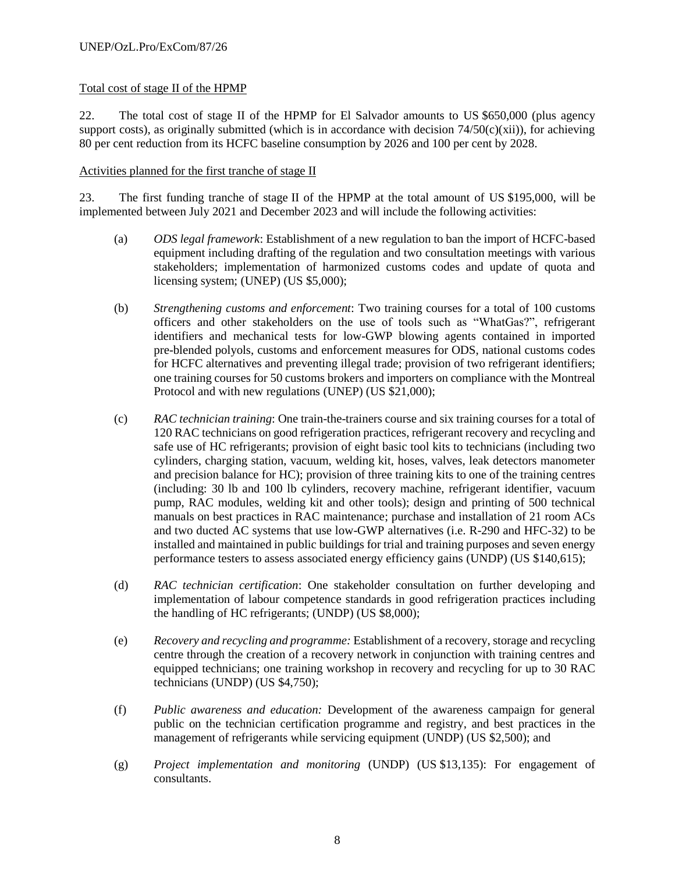## Total cost of stage II of the HPMP

22. The total cost of stage II of the HPMP for El Salvador amounts to US \$650,000 (plus agency support costs), as originally submitted (which is in accordance with decision  $74/50(c)(xii)$ ), for achieving 80 per cent reduction from its HCFC baseline consumption by 2026 and 100 per cent by 2028.

## Activities planned for the first tranche of stage II

23. The first funding tranche of stage II of the HPMP at the total amount of US \$195,000, will be implemented between July 2021 and December 2023 and will include the following activities:

- (a) *ODS legal framework*: Establishment of a new regulation to ban the import of HCFC-based equipment including drafting of the regulation and two consultation meetings with various stakeholders; implementation of harmonized customs codes and update of quota and licensing system; (UNEP) (US \$5,000);
- (b) *Strengthening customs and enforcement*: Two training courses for a total of 100 customs officers and other stakeholders on the use of tools such as "WhatGas?", refrigerant identifiers and mechanical tests for low-GWP blowing agents contained in imported pre-blended polyols, customs and enforcement measures for ODS, national customs codes for HCFC alternatives and preventing illegal trade; provision of two refrigerant identifiers; one training courses for 50 customs brokers and importers on compliance with the Montreal Protocol and with new regulations (UNEP) (US \$21,000);
- (c) *RAC technician training*: One train-the-trainers course and six training courses for a total of 120 RAC technicians on good refrigeration practices, refrigerant recovery and recycling and safe use of HC refrigerants; provision of eight basic tool kits to technicians (including two cylinders, charging station, vacuum, welding kit, hoses, valves, leak detectors manometer and precision balance for HC); provision of three training kits to one of the training centres (including: 30 lb and 100 lb cylinders, recovery machine, refrigerant identifier, vacuum pump, RAC modules, welding kit and other tools); design and printing of 500 technical manuals on best practices in RAC maintenance; purchase and installation of 21 room ACs and two ducted AC systems that use low-GWP alternatives (i.e. R-290 and HFC-32) to be installed and maintained in public buildings for trial and training purposes and seven energy performance testers to assess associated energy efficiency gains (UNDP) (US \$140,615);
- (d) *RAC technician certification*: One stakeholder consultation on further developing and implementation of labour competence standards in good refrigeration practices including the handling of HC refrigerants; (UNDP) (US \$8,000);
- (e) *Recovery and recycling and programme:* Establishment of a recovery, storage and recycling centre through the creation of a recovery network in conjunction with training centres and equipped technicians; one training workshop in recovery and recycling for up to 30 RAC technicians (UNDP) (US \$4,750);
- (f) *Public awareness and education:* Development of the awareness campaign for general public on the technician certification programme and registry, and best practices in the management of refrigerants while servicing equipment (UNDP) (US \$2,500); and
- (g) *Project implementation and monitoring* (UNDP) (US \$13,135): For engagement of consultants.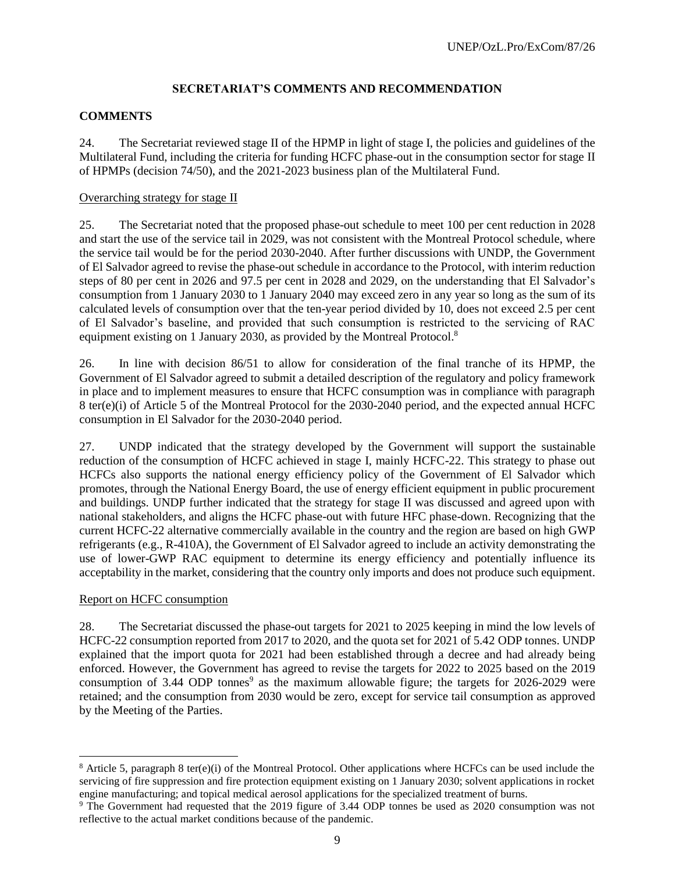## **SECRETARIAT'S COMMENTS AND RECOMMENDATION**

## **COMMENTS**

24. The Secretariat reviewed stage II of the HPMP in light of stage I, the policies and guidelines of the Multilateral Fund, including the criteria for funding HCFC phase-out in the consumption sector for stage II of HPMPs (decision 74/50), and the 2021-2023 business plan of the Multilateral Fund.

## Overarching strategy for stage II

25. The Secretariat noted that the proposed phase-out schedule to meet 100 per cent reduction in 2028 and start the use of the service tail in 2029, was not consistent with the Montreal Protocol schedule, where the service tail would be for the period 2030-2040. After further discussions with UNDP, the Government of El Salvador agreed to revise the phase-out schedule in accordance to the Protocol, with interim reduction steps of 80 per cent in 2026 and 97.5 per cent in 2028 and 2029, on the understanding that El Salvador's consumption from 1 January 2030 to 1 January 2040 may exceed zero in any year so long as the sum of its calculated levels of consumption over that the ten-year period divided by 10, does not exceed 2.5 per cent of El Salvador's baseline, and provided that such consumption is restricted to the servicing of RAC equipment existing on 1 January 2030, as provided by the Montreal Protocol.<sup>8</sup>

26. In line with decision 86/51 to allow for consideration of the final tranche of its HPMP, the Government of El Salvador agreed to submit a detailed description of the regulatory and policy framework in place and to implement measures to ensure that HCFC consumption was in compliance with paragraph 8 ter(e)(i) of Article 5 of the Montreal Protocol for the 2030-2040 period, and the expected annual HCFC consumption in El Salvador for the 2030-2040 period.

27. UNDP indicated that the strategy developed by the Government will support the sustainable reduction of the consumption of HCFC achieved in stage I, mainly HCFC-22. This strategy to phase out HCFCs also supports the national energy efficiency policy of the Government of El Salvador which promotes, through the National Energy Board, the use of energy efficient equipment in public procurement and buildings. UNDP further indicated that the strategy for stage II was discussed and agreed upon with national stakeholders, and aligns the HCFC phase-out with future HFC phase-down. Recognizing that the current HCFC-22 alternative commercially available in the country and the region are based on high GWP refrigerants (e.g., R-410A), the Government of El Salvador agreed to include an activity demonstrating the use of lower-GWP RAC equipment to determine its energy efficiency and potentially influence its acceptability in the market, considering that the country only imports and does not produce such equipment.

## Report on HCFC consumption

 $\overline{a}$ 

28. The Secretariat discussed the phase-out targets for 2021 to 2025 keeping in mind the low levels of HCFC-22 consumption reported from 2017 to 2020, and the quota set for 2021 of 5.42 ODP tonnes. UNDP explained that the import quota for 2021 had been established through a decree and had already being enforced. However, the Government has agreed to revise the targets for 2022 to 2025 based on the 2019 consumption of 3.44 ODP tonnes<sup>9</sup> as the maximum allowable figure; the targets for 2026-2029 were retained; and the consumption from 2030 would be zero, except for service tail consumption as approved by the Meeting of the Parties.

<sup>8</sup> Article 5, paragraph 8 ter(e)(i) of the Montreal Protocol. Other applications where HCFCs can be used include the servicing of fire suppression and fire protection equipment existing on 1 January 2030; solvent applications in rocket engine manufacturing; and topical medical aerosol applications for the specialized treatment of burns.

<sup>&</sup>lt;sup>9</sup> The Government had requested that the 2019 figure of 3.44 ODP tonnes be used as 2020 consumption was not reflective to the actual market conditions because of the pandemic.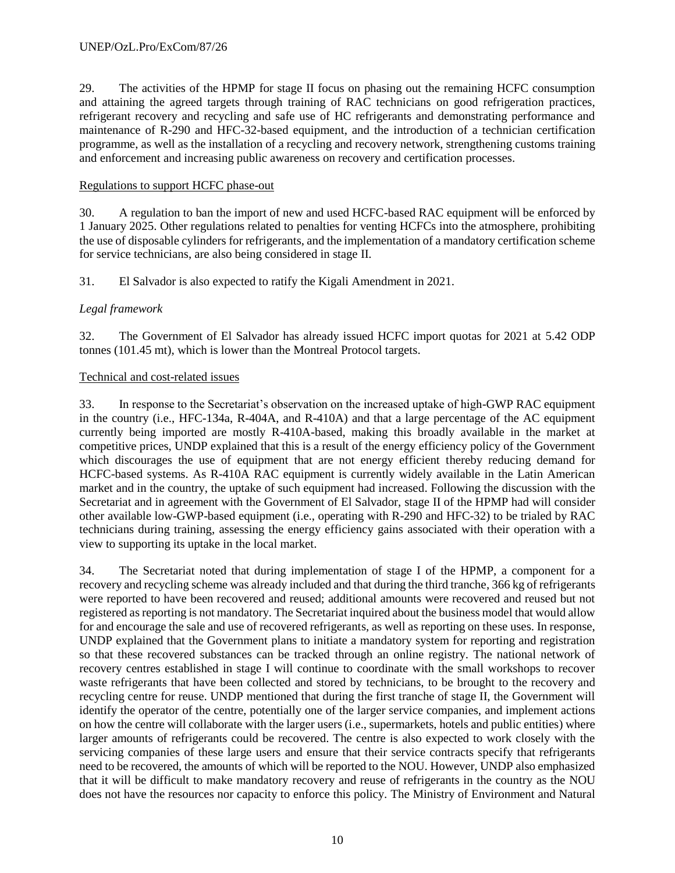29. The activities of the HPMP for stage II focus on phasing out the remaining HCFC consumption and attaining the agreed targets through training of RAC technicians on good refrigeration practices, refrigerant recovery and recycling and safe use of HC refrigerants and demonstrating performance and maintenance of R-290 and HFC-32-based equipment, and the introduction of a technician certification programme, as well as the installation of a recycling and recovery network, strengthening customs training and enforcement and increasing public awareness on recovery and certification processes.

## Regulations to support HCFC phase-out

30. A regulation to ban the import of new and used HCFC-based RAC equipment will be enforced by 1 January 2025. Other regulations related to penalties for venting HCFCs into the atmosphere, prohibiting the use of disposable cylinders for refrigerants, and the implementation of a mandatory certification scheme for service technicians, are also being considered in stage II.

31. El Salvador is also expected to ratify the Kigali Amendment in 2021.

## *Legal framework*

32. The Government of El Salvador has already issued HCFC import quotas for 2021 at 5.42 ODP tonnes (101.45 mt), which is lower than the Montreal Protocol targets.

## Technical and cost-related issues

33. In response to the Secretariat's observation on the increased uptake of high-GWP RAC equipment in the country (i.e., HFC-134a, R-404A, and R-410A) and that a large percentage of the AC equipment currently being imported are mostly R-410A-based, making this broadly available in the market at competitive prices, UNDP explained that this is a result of the energy efficiency policy of the Government which discourages the use of equipment that are not energy efficient thereby reducing demand for HCFC-based systems. As R-410A RAC equipment is currently widely available in the Latin American market and in the country, the uptake of such equipment had increased. Following the discussion with the Secretariat and in agreement with the Government of El Salvador, stage II of the HPMP had will consider other available low-GWP-based equipment (i.e., operating with R-290 and HFC-32) to be trialed by RAC technicians during training, assessing the energy efficiency gains associated with their operation with a view to supporting its uptake in the local market.

34. The Secretariat noted that during implementation of stage I of the HPMP, a component for a recovery and recycling scheme was already included and that during the third tranche, 366 kg of refrigerants were reported to have been recovered and reused; additional amounts were recovered and reused but not registered as reporting is not mandatory. The Secretariat inquired about the business model that would allow for and encourage the sale and use of recovered refrigerants, as well as reporting on these uses. In response, UNDP explained that the Government plans to initiate a mandatory system for reporting and registration so that these recovered substances can be tracked through an online registry. The national network of recovery centres established in stage I will continue to coordinate with the small workshops to recover waste refrigerants that have been collected and stored by technicians, to be brought to the recovery and recycling centre for reuse. UNDP mentioned that during the first tranche of stage II, the Government will identify the operator of the centre, potentially one of the larger service companies, and implement actions on how the centre will collaborate with the larger users (i.e., supermarkets, hotels and public entities) where larger amounts of refrigerants could be recovered. The centre is also expected to work closely with the servicing companies of these large users and ensure that their service contracts specify that refrigerants need to be recovered, the amounts of which will be reported to the NOU. However, UNDP also emphasized that it will be difficult to make mandatory recovery and reuse of refrigerants in the country as the NOU does not have the resources nor capacity to enforce this policy. The Ministry of Environment and Natural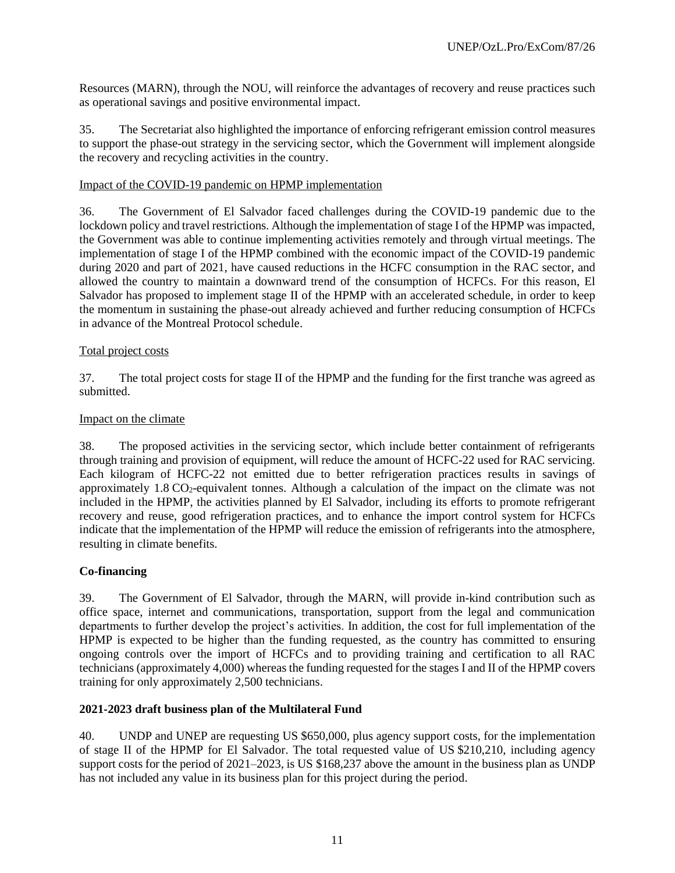Resources (MARN), through the NOU, will reinforce the advantages of recovery and reuse practices such as operational savings and positive environmental impact.

35. The Secretariat also highlighted the importance of enforcing refrigerant emission control measures to support the phase-out strategy in the servicing sector, which the Government will implement alongside the recovery and recycling activities in the country.

#### Impact of the COVID-19 pandemic on HPMP implementation

36. The Government of El Salvador faced challenges during the COVID-19 pandemic due to the lockdown policy and travel restrictions. Although the implementation of stage I of the HPMP was impacted, the Government was able to continue implementing activities remotely and through virtual meetings. The implementation of stage I of the HPMP combined with the economic impact of the COVID-19 pandemic during 2020 and part of 2021, have caused reductions in the HCFC consumption in the RAC sector, and allowed the country to maintain a downward trend of the consumption of HCFCs. For this reason, El Salvador has proposed to implement stage II of the HPMP with an accelerated schedule, in order to keep the momentum in sustaining the phase-out already achieved and further reducing consumption of HCFCs in advance of the Montreal Protocol schedule.

#### Total project costs

37. The total project costs for stage II of the HPMP and the funding for the first tranche was agreed as submitted.

#### Impact on the climate

38. The proposed activities in the servicing sector, which include better containment of refrigerants through training and provision of equipment, will reduce the amount of HCFC-22 used for RAC servicing. Each kilogram of HCFC-22 not emitted due to better refrigeration practices results in savings of approximately  $1.8 \text{ CO}_2$ -equivalent tonnes. Although a calculation of the impact on the climate was not included in the HPMP, the activities planned by El Salvador, including its efforts to promote refrigerant recovery and reuse, good refrigeration practices, and to enhance the import control system for HCFCs indicate that the implementation of the HPMP will reduce the emission of refrigerants into the atmosphere, resulting in climate benefits.

## **Co-financing**

39. The Government of El Salvador, through the MARN, will provide in-kind contribution such as office space, internet and communications, transportation, support from the legal and communication departments to further develop the project's activities. In addition, the cost for full implementation of the HPMP is expected to be higher than the funding requested, as the country has committed to ensuring ongoing controls over the import of HCFCs and to providing training and certification to all RAC technicians (approximately 4,000) whereas the funding requested for the stages I and II of the HPMP covers training for only approximately 2,500 technicians.

## **2021-2023 draft business plan of the Multilateral Fund**

40. UNDP and UNEP are requesting US \$650,000, plus agency support costs, for the implementation of stage II of the HPMP for El Salvador. The total requested value of US \$210,210, including agency support costs for the period of 2021–2023, is US \$168,237 above the amount in the business plan as UNDP has not included any value in its business plan for this project during the period.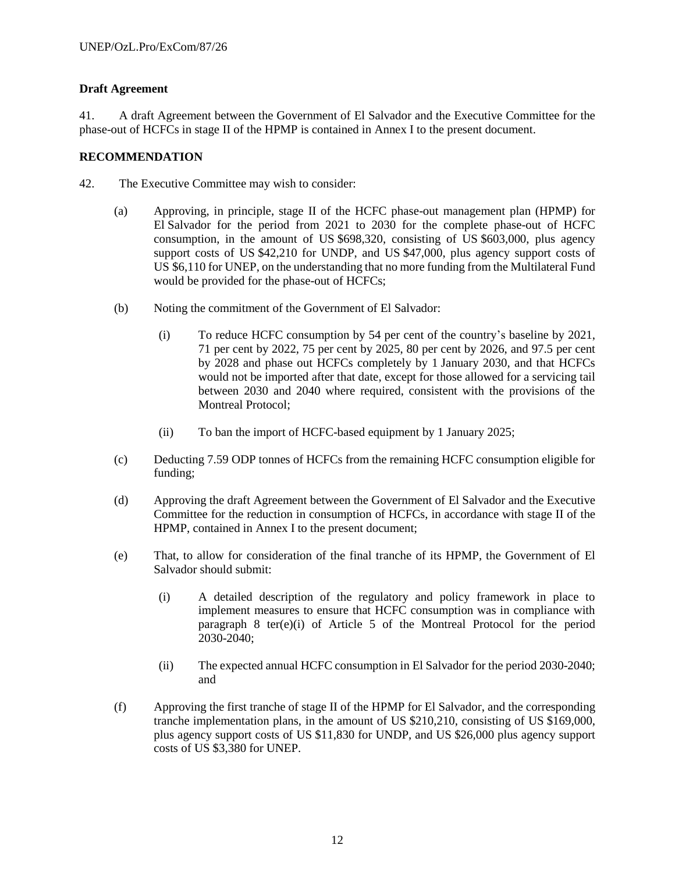## **Draft Agreement**

41. A draft Agreement between the Government of El Salvador and the Executive Committee for the phase-out of HCFCs in stage II of the HPMP is contained in Annex I to the present document.

## **RECOMMENDATION**

- 42. The Executive Committee may wish to consider:
	- (a) Approving, in principle, stage II of the HCFC phase-out management plan (HPMP) for El Salvador for the period from 2021 to 2030 for the complete phase-out of HCFC consumption, in the amount of US \$698,320, consisting of US \$603,000, plus agency support costs of US \$42,210 for UNDP, and US \$47,000, plus agency support costs of US \$6,110 for UNEP, on the understanding that no more funding from the Multilateral Fund would be provided for the phase-out of HCFCs;
	- (b) Noting the commitment of the Government of El Salvador:
		- (i) To reduce HCFC consumption by 54 per cent of the country's baseline by 2021, 71 per cent by 2022, 75 per cent by 2025, 80 per cent by 2026, and 97.5 per cent by 2028 and phase out HCFCs completely by 1 January 2030, and that HCFCs would not be imported after that date, except for those allowed for a servicing tail between 2030 and 2040 where required, consistent with the provisions of the Montreal Protocol;
		- (ii) To ban the import of HCFC-based equipment by 1 January 2025;
	- (c) Deducting 7.59 ODP tonnes of HCFCs from the remaining HCFC consumption eligible for funding;
	- (d) Approving the draft Agreement between the Government of El Salvador and the Executive Committee for the reduction in consumption of HCFCs, in accordance with stage II of the HPMP, contained in Annex I to the present document;
	- (e) That, to allow for consideration of the final tranche of its HPMP, the Government of El Salvador should submit:
		- (i) A detailed description of the regulatory and policy framework in place to implement measures to ensure that HCFC consumption was in compliance with paragraph 8 ter(e)(i) of Article 5 of the Montreal Protocol for the period 2030-2040;
		- (ii) The expected annual HCFC consumption in El Salvador for the period 2030-2040; and
	- (f) Approving the first tranche of stage II of the HPMP for El Salvador, and the corresponding tranche implementation plans, in the amount of US \$210,210, consisting of US \$169,000, plus agency support costs of US \$11,830 for UNDP, and US \$26,000 plus agency support costs of US \$3,380 for UNEP.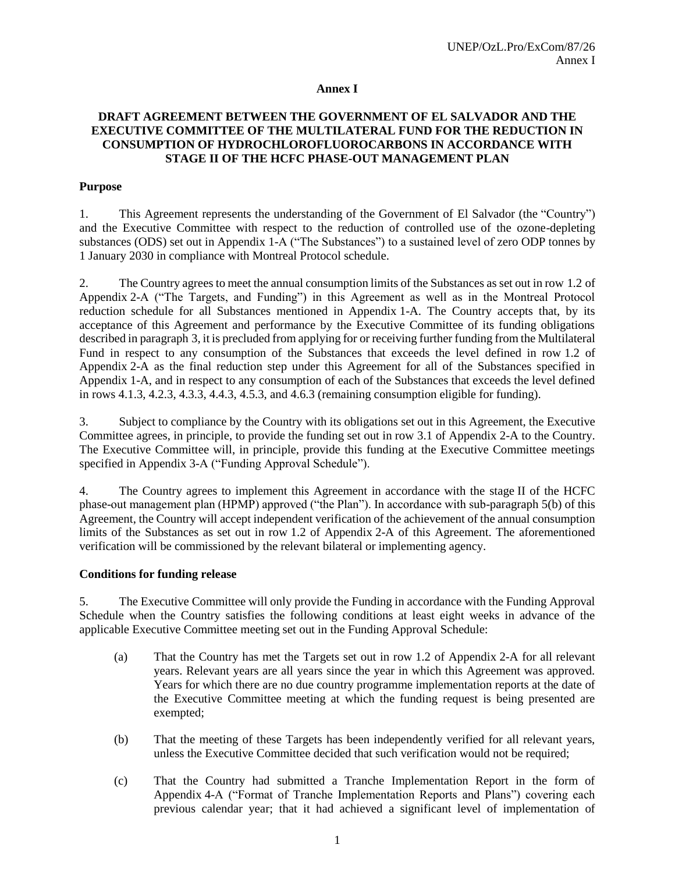#### **Annex I**

## **DRAFT AGREEMENT BETWEEN THE GOVERNMENT OF EL SALVADOR AND THE EXECUTIVE COMMITTEE OF THE MULTILATERAL FUND FOR THE REDUCTION IN CONSUMPTION OF HYDROCHLOROFLUOROCARBONS IN ACCORDANCE WITH STAGE II OF THE HCFC PHASE-OUT MANAGEMENT PLAN**

#### **Purpose**

1. This Agreement represents the understanding of the Government of El Salvador (the "Country") and the Executive Committee with respect to the reduction of controlled use of the ozone-depleting substances (ODS) set out in Appendix 1-A ("The Substances") to a sustained level of zero ODP tonnes by 1 January 2030 in compliance with Montreal Protocol schedule.

2. The Country agrees to meet the annual consumption limits of the Substances as set out in row 1.2 of Appendix 2-A ("The Targets, and Funding") in this Agreement as well as in the Montreal Protocol reduction schedule for all Substances mentioned in Appendix 1-A. The Country accepts that, by its acceptance of this Agreement and performance by the Executive Committee of its funding obligations described in paragraph 3, it is precluded from applying for or receiving further funding from the Multilateral Fund in respect to any consumption of the Substances that exceeds the level defined in row 1.2 of Appendix 2-A as the final reduction step under this Agreement for all of the Substances specified in Appendix 1-A, and in respect to any consumption of each of the Substances that exceeds the level defined in rows 4.1.3, 4.2.3, 4.3.3, 4.4.3, 4.5.3, and 4.6.3 (remaining consumption eligible for funding).

3. Subject to compliance by the Country with its obligations set out in this Agreement, the Executive Committee agrees, in principle, to provide the funding set out in row 3.1 of Appendix 2-A to the Country. The Executive Committee will, in principle, provide this funding at the Executive Committee meetings specified in Appendix 3-A ("Funding Approval Schedule").

4. The Country agrees to implement this Agreement in accordance with the stage II of the HCFC phase-out management plan (HPMP) approved ("the Plan"). In accordance with sub-paragraph 5(b) of this Agreement, the Country will accept independent verification of the achievement of the annual consumption limits of the Substances as set out in row 1.2 of Appendix 2-A of this Agreement. The aforementioned verification will be commissioned by the relevant bilateral or implementing agency.

#### **Conditions for funding release**

5. The Executive Committee will only provide the Funding in accordance with the Funding Approval Schedule when the Country satisfies the following conditions at least eight weeks in advance of the applicable Executive Committee meeting set out in the Funding Approval Schedule:

- (a) That the Country has met the Targets set out in row 1.2 of Appendix 2-A for all relevant years. Relevant years are all years since the year in which this Agreement was approved. Years for which there are no due country programme implementation reports at the date of the Executive Committee meeting at which the funding request is being presented are exempted;
- (b) That the meeting of these Targets has been independently verified for all relevant years, unless the Executive Committee decided that such verification would not be required;
- (c) That the Country had submitted a Tranche Implementation Report in the form of Appendix 4-A ("Format of Tranche Implementation Reports and Plans") covering each previous calendar year; that it had achieved a significant level of implementation of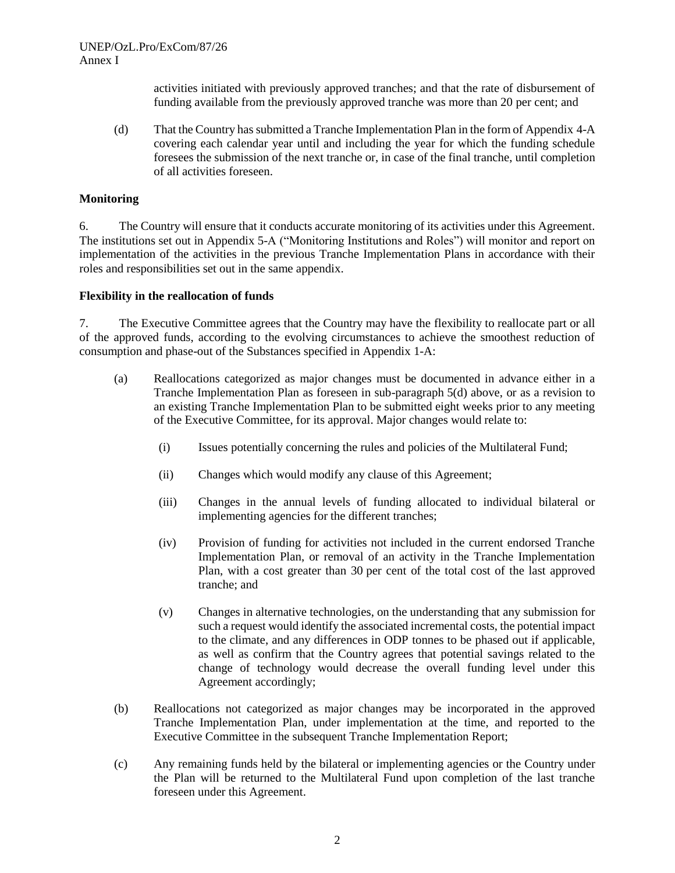activities initiated with previously approved tranches; and that the rate of disbursement of funding available from the previously approved tranche was more than 20 per cent; and

(d) That the Country has submitted a Tranche Implementation Plan in the form of Appendix 4-A covering each calendar year until and including the year for which the funding schedule foresees the submission of the next tranche or, in case of the final tranche, until completion of all activities foreseen.

#### **Monitoring**

6. The Country will ensure that it conducts accurate monitoring of its activities under this Agreement. The institutions set out in Appendix 5-A ("Monitoring Institutions and Roles") will monitor and report on implementation of the activities in the previous Tranche Implementation Plans in accordance with their roles and responsibilities set out in the same appendix.

#### **Flexibility in the reallocation of funds**

7. The Executive Committee agrees that the Country may have the flexibility to reallocate part or all of the approved funds, according to the evolving circumstances to achieve the smoothest reduction of consumption and phase-out of the Substances specified in Appendix 1-A:

- (a) Reallocations categorized as major changes must be documented in advance either in a Tranche Implementation Plan as foreseen in sub-paragraph 5(d) above, or as a revision to an existing Tranche Implementation Plan to be submitted eight weeks prior to any meeting of the Executive Committee, for its approval. Major changes would relate to:
	- (i) Issues potentially concerning the rules and policies of the Multilateral Fund;
	- (ii) Changes which would modify any clause of this Agreement;
	- (iii) Changes in the annual levels of funding allocated to individual bilateral or implementing agencies for the different tranches;
	- (iv) Provision of funding for activities not included in the current endorsed Tranche Implementation Plan, or removal of an activity in the Tranche Implementation Plan, with a cost greater than 30 per cent of the total cost of the last approved tranche; and
	- (v) Changes in alternative technologies, on the understanding that any submission for such a request would identify the associated incremental costs, the potential impact to the climate, and any differences in ODP tonnes to be phased out if applicable, as well as confirm that the Country agrees that potential savings related to the change of technology would decrease the overall funding level under this Agreement accordingly;
- (b) Reallocations not categorized as major changes may be incorporated in the approved Tranche Implementation Plan, under implementation at the time, and reported to the Executive Committee in the subsequent Tranche Implementation Report;
- (c) Any remaining funds held by the bilateral or implementing agencies or the Country under the Plan will be returned to the Multilateral Fund upon completion of the last tranche foreseen under this Agreement.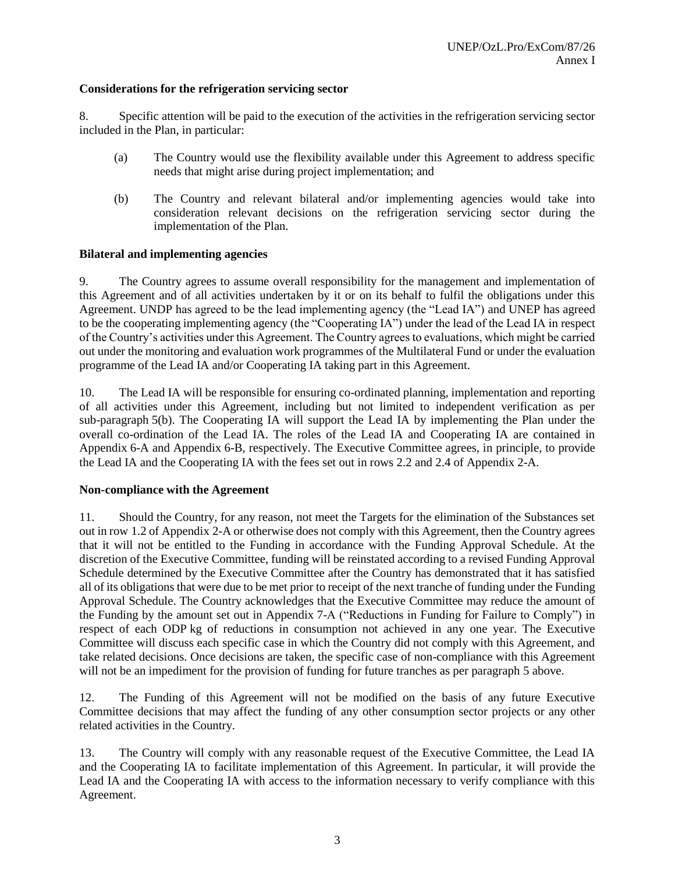## **Considerations for the refrigeration servicing sector**

8. Specific attention will be paid to the execution of the activities in the refrigeration servicing sector included in the Plan, in particular:

- (a) The Country would use the flexibility available under this Agreement to address specific needs that might arise during project implementation; and
- (b) The Country and relevant bilateral and/or implementing agencies would take into consideration relevant decisions on the refrigeration servicing sector during the implementation of the Plan.

## **Bilateral and implementing agencies**

9. The Country agrees to assume overall responsibility for the management and implementation of this Agreement and of all activities undertaken by it or on its behalf to fulfil the obligations under this Agreement. UNDP has agreed to be the lead implementing agency (the "Lead IA") and UNEP has agreed to be the cooperating implementing agency (the "Cooperating IA") under the lead of the Lead IA in respect of the Country's activities under this Agreement. The Country agrees to evaluations, which might be carried out under the monitoring and evaluation work programmes of the Multilateral Fund or under the evaluation programme of the Lead IA and/or Cooperating IA taking part in this Agreement.

10. The Lead IA will be responsible for ensuring co-ordinated planning, implementation and reporting of all activities under this Agreement, including but not limited to independent verification as per sub-paragraph 5(b). The Cooperating IA will support the Lead IA by implementing the Plan under the overall co-ordination of the Lead IA. The roles of the Lead IA and Cooperating IA are contained in Appendix 6-A and Appendix 6-B, respectively. The Executive Committee agrees, in principle, to provide the Lead IA and the Cooperating IA with the fees set out in rows 2.2 and 2.4 of Appendix 2-A.

## **Non-compliance with the Agreement**

11. Should the Country, for any reason, not meet the Targets for the elimination of the Substances set out in row 1.2 of Appendix 2-A or otherwise does not comply with this Agreement, then the Country agrees that it will not be entitled to the Funding in accordance with the Funding Approval Schedule. At the discretion of the Executive Committee, funding will be reinstated according to a revised Funding Approval Schedule determined by the Executive Committee after the Country has demonstrated that it has satisfied all of its obligations that were due to be met prior to receipt of the next tranche of funding under the Funding Approval Schedule. The Country acknowledges that the Executive Committee may reduce the amount of the Funding by the amount set out in Appendix 7-A ("Reductions in Funding for Failure to Comply") in respect of each ODP kg of reductions in consumption not achieved in any one year. The Executive Committee will discuss each specific case in which the Country did not comply with this Agreement, and take related decisions. Once decisions are taken, the specific case of non-compliance with this Agreement will not be an impediment for the provision of funding for future tranches as per paragraph 5 above.

12. The Funding of this Agreement will not be modified on the basis of any future Executive Committee decisions that may affect the funding of any other consumption sector projects or any other related activities in the Country.

13. The Country will comply with any reasonable request of the Executive Committee, the Lead IA and the Cooperating IA to facilitate implementation of this Agreement. In particular, it will provide the Lead IA and the Cooperating IA with access to the information necessary to verify compliance with this Agreement.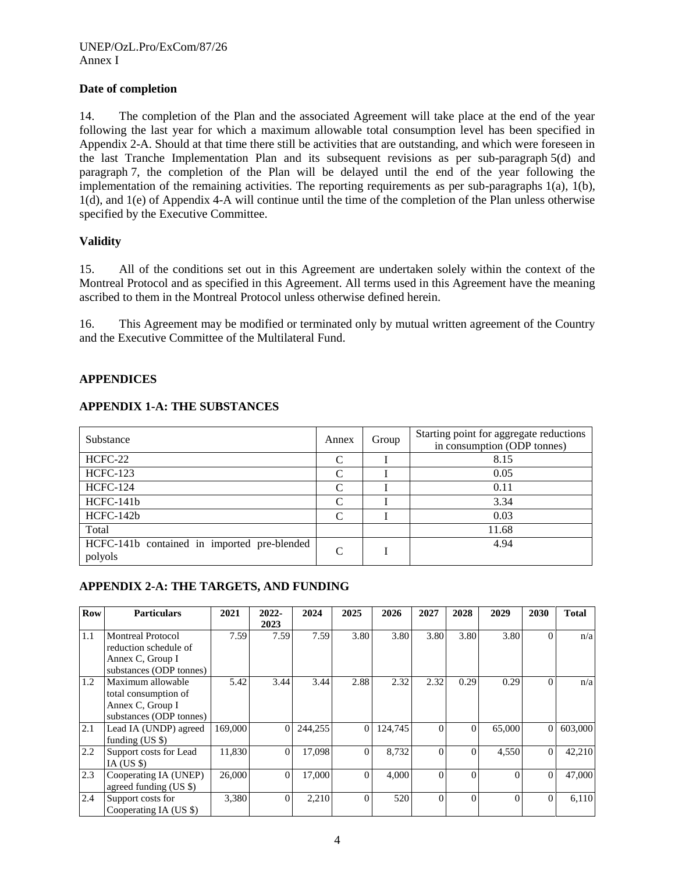## **Date of completion**

14. The completion of the Plan and the associated Agreement will take place at the end of the year following the last year for which a maximum allowable total consumption level has been specified in Appendix 2-A. Should at that time there still be activities that are outstanding, and which were foreseen in the last Tranche Implementation Plan and its subsequent revisions as per sub-paragraph 5(d) and paragraph 7, the completion of the Plan will be delayed until the end of the year following the implementation of the remaining activities. The reporting requirements as per sub-paragraphs 1(a), 1(b), 1(d), and 1(e) of Appendix 4-A will continue until the time of the completion of the Plan unless otherwise specified by the Executive Committee.

## **Validity**

15. All of the conditions set out in this Agreement are undertaken solely within the context of the Montreal Protocol and as specified in this Agreement. All terms used in this Agreement have the meaning ascribed to them in the Montreal Protocol unless otherwise defined herein.

16. This Agreement may be modified or terminated only by mutual written agreement of the Country and the Executive Committee of the Multilateral Fund.

## **APPENDICES**

## **APPENDIX 1-A: THE SUBSTANCES**

| Substance                                              | Annex         | Group | Starting point for aggregate reductions<br>in consumption (ODP tonnes) |
|--------------------------------------------------------|---------------|-------|------------------------------------------------------------------------|
| HCFC-22                                                | C             |       | 8.15                                                                   |
| <b>HCFC-123</b>                                        | C             |       | 0.05                                                                   |
| <b>HCFC-124</b>                                        | C             |       | 0.11                                                                   |
| HCFC-141b                                              | C             |       | 3.34                                                                   |
| HCFC-142b                                              | $\mathcal{C}$ |       | 0.03                                                                   |
| Total                                                  |               |       | 11.68                                                                  |
| HCFC-141b contained in imported pre-blended<br>polyols | C             |       | 4.94                                                                   |

## **APPENDIX 2-A: THE TARGETS, AND FUNDING**

| <b>Row</b> | <b>Particulars</b>       | 2021    | $2022 -$ | 2024    | 2025         | 2026    | 2027         | 2028 | 2029     | 2030           | <b>Total</b> |
|------------|--------------------------|---------|----------|---------|--------------|---------|--------------|------|----------|----------------|--------------|
|            |                          |         | 2023     |         |              |         |              |      |          |                |              |
| 1.1        | <b>Montreal Protocol</b> | 7.59    | 7.59     | 7.59    | 3.80         | 3.80    | 3.80         | 3.80 | 3.80     | $\Omega$       | n/a          |
|            | reduction schedule of    |         |          |         |              |         |              |      |          |                |              |
|            | Annex C, Group I         |         |          |         |              |         |              |      |          |                |              |
|            | substances (ODP tonnes)  |         |          |         |              |         |              |      |          |                |              |
| 1.2        | Maximum allowable        | 5.42    | 3.44     | 3.44    | 2.88         | 2.32    | 2.32         | 0.29 | 0.29     | $\Omega$       | n/a          |
|            | total consumption of     |         |          |         |              |         |              |      |          |                |              |
|            | Annex C, Group I         |         |          |         |              |         |              |      |          |                |              |
|            | substances (ODP tonnes)  |         |          |         |              |         |              |      |          |                |              |
| 2.1        | Lead IA (UNDP) agreed    | 169,000 | 0        | 244,255 | $\mathbf{0}$ | 124,745 | $\mathbf{0}$ |      | 65,000   | $\overline{0}$ | 603,000      |
|            | funding $(US \$          |         |          |         |              |         |              |      |          |                |              |
| 2.2        | Support costs for Lead   | 11,830  | 0        | 17,098  | $\Omega$     | 8,732   | $\Omega$     |      | 4,550    | $\mathbf{0}$   | 42,210       |
|            | IA (US $\text{\$}$ )     |         |          |         |              |         |              |      |          |                |              |
| 2.3        | Cooperating IA (UNEP)    | 26,000  | 0        | 17,000  | $\Omega$     | 4,000   | $\Omega$     |      |          | $\mathbf{0}$   | 47,000       |
|            | agreed funding (US \$)   |         |          |         |              |         |              |      |          |                |              |
| 2.4        | Support costs for        | 3,380   | $\theta$ | 2,210   | $\theta$     | 520     | $\Omega$     |      | $\Omega$ | $\Omega$       | 6,110        |
|            | Cooperating IA (US \$)   |         |          |         |              |         |              |      |          |                |              |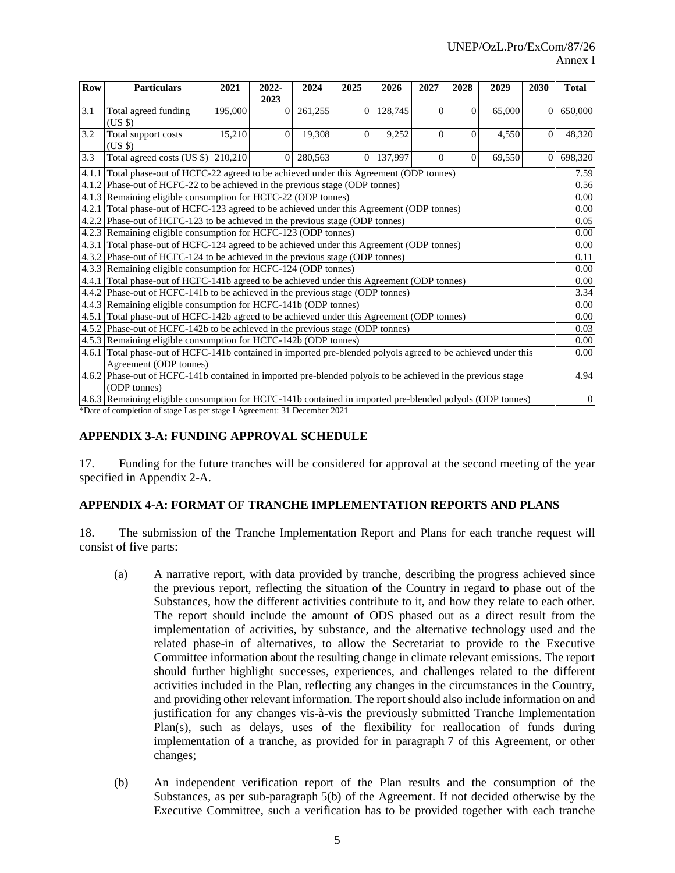| Row   | <b>Particulars</b>                                                                                            | 2021    | 2022-    | 2024    | 2025     | 2026    | 2027     | 2028     | 2029   | 2030     | <b>Total</b> |  |  |
|-------|---------------------------------------------------------------------------------------------------------------|---------|----------|---------|----------|---------|----------|----------|--------|----------|--------------|--|--|
|       |                                                                                                               |         | 2023     |         |          |         |          |          |        |          |              |  |  |
| 3.1   | Total agreed funding                                                                                          | 195,000 | 0        | 261,255 | $\Omega$ | 128,745 | $\Omega$ | $\Omega$ | 65,000 | 0        | 650,000      |  |  |
|       | (USS)                                                                                                         |         |          |         |          |         |          |          |        |          |              |  |  |
| 3.2   | Total support costs                                                                                           | 15,210  | $\Omega$ | 19,308  | $\Omega$ | 9,252   | $\Omega$ | 0        | 4,550  | 0        | 48,320       |  |  |
|       | (USS)                                                                                                         |         |          |         |          |         |          |          |        |          |              |  |  |
| 3.3   | Total agreed costs (US $\frac{1}{2}$ ) 210,210                                                                |         | $\Omega$ | 280,563 | $\Omega$ | 137,997 | $\Omega$ | $\Omega$ | 69,550 | $\Omega$ | 698,320      |  |  |
| 4.1.1 | Total phase-out of HCFC-22 agreed to be achieved under this Agreement (ODP tonnes)                            |         |          |         |          |         |          |          |        |          |              |  |  |
|       | 4.1.2 Phase-out of HCFC-22 to be achieved in the previous stage (ODP tonnes)                                  |         |          |         |          |         |          |          |        |          |              |  |  |
|       | 4.1.3 Remaining eligible consumption for HCFC-22 (ODP tonnes)                                                 |         |          |         |          |         |          |          |        |          | 0.00         |  |  |
|       | 4.2.1 Total phase-out of HCFC-123 agreed to be achieved under this Agreement (ODP tonnes)                     |         |          |         |          |         |          |          |        |          |              |  |  |
|       | 4.2.2 Phase-out of HCFC-123 to be achieved in the previous stage (ODP tonnes)                                 |         |          |         |          |         |          |          |        |          |              |  |  |
|       | 4.2.3 Remaining eligible consumption for HCFC-123 (ODP tonnes)                                                |         |          |         |          |         |          |          |        |          |              |  |  |
|       | 4.3.1 Total phase-out of HCFC-124 agreed to be achieved under this Agreement (ODP tonnes)                     |         |          |         |          |         |          |          |        |          |              |  |  |
|       | 4.3.2 Phase-out of HCFC-124 to be achieved in the previous stage (ODP tonnes)                                 |         |          |         |          |         |          |          |        |          | 0.11         |  |  |
|       | 4.3.3 Remaining eligible consumption for HCFC-124 (ODP tonnes)                                                |         |          |         |          |         |          |          |        |          | 0.00         |  |  |
|       | 4.4.1 Total phase-out of HCFC-141b agreed to be achieved under this Agreement (ODP tonnes)                    |         |          |         |          |         |          |          |        |          | 0.00         |  |  |
|       | 4.4.2 Phase-out of HCFC-141b to be achieved in the previous stage (ODP tonnes)                                |         |          |         |          |         |          |          |        |          | 3.34         |  |  |
|       | 4.4.3 Remaining eligible consumption for HCFC-141b (ODP tonnes)                                               |         |          |         |          |         |          |          |        |          | 0.00         |  |  |
|       | 4.5.1 Total phase-out of HCFC-142b agreed to be achieved under this Agreement (ODP tonnes)                    |         |          |         |          |         |          |          |        |          | 0.00         |  |  |
|       | 4.5.2 Phase-out of HCFC-142b to be achieved in the previous stage (ODP tonnes)                                |         |          |         |          |         |          |          |        |          | 0.03         |  |  |
|       | 4.5.3 Remaining eligible consumption for HCFC-142b (ODP tonnes)                                               |         |          |         |          |         |          |          |        |          | 0.00         |  |  |
|       | 4.6.1 Total phase-out of HCFC-141b contained in imported pre-blended polyols agreed to be achieved under this |         |          |         |          |         |          |          |        |          | 0.00         |  |  |
|       | Agreement (ODP tonnes)                                                                                        |         |          |         |          |         |          |          |        |          |              |  |  |
|       | 4.6.2 Phase-out of HCFC-141b contained in imported pre-blended polyols to be achieved in the previous stage   |         |          |         |          |         |          |          |        |          | 4.94         |  |  |
|       | (ODP tonnes)                                                                                                  |         |          |         |          |         |          |          |        |          |              |  |  |
|       | 4.6.3 Remaining eligible consumption for HCFC-141b contained in imported pre-blended polyols (ODP tonnes)     |         |          |         |          |         |          |          |        |          | $\mathbf{0}$ |  |  |

\*Date of completion of stage I as per stage I Agreement: 31 December 2021

#### **APPENDIX 3-A: FUNDING APPROVAL SCHEDULE**

17. Funding for the future tranches will be considered for approval at the second meeting of the year specified in Appendix 2-A.

#### **APPENDIX 4-A: FORMAT OF TRANCHE IMPLEMENTATION REPORTS AND PLANS**

18. The submission of the Tranche Implementation Report and Plans for each tranche request will consist of five parts:

- (a) A narrative report, with data provided by tranche, describing the progress achieved since the previous report, reflecting the situation of the Country in regard to phase out of the Substances, how the different activities contribute to it, and how they relate to each other. The report should include the amount of ODS phased out as a direct result from the implementation of activities, by substance, and the alternative technology used and the related phase-in of alternatives, to allow the Secretariat to provide to the Executive Committee information about the resulting change in climate relevant emissions. The report should further highlight successes, experiences, and challenges related to the different activities included in the Plan, reflecting any changes in the circumstances in the Country, and providing other relevant information. The report should also include information on and justification for any changes vis-à-vis the previously submitted Tranche Implementation Plan(s), such as delays, uses of the flexibility for reallocation of funds during implementation of a tranche, as provided for in paragraph 7 of this Agreement, or other changes;
- (b) An independent verification report of the Plan results and the consumption of the Substances, as per sub-paragraph 5(b) of the Agreement. If not decided otherwise by the Executive Committee, such a verification has to be provided together with each tranche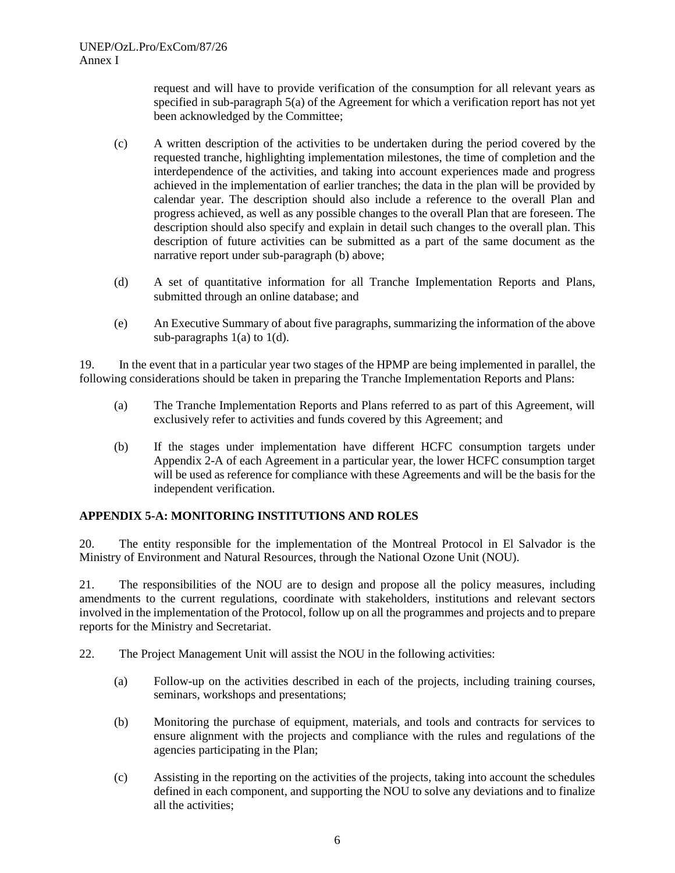request and will have to provide verification of the consumption for all relevant years as specified in sub-paragraph 5(a) of the Agreement for which a verification report has not yet been acknowledged by the Committee;

- (c) A written description of the activities to be undertaken during the period covered by the requested tranche, highlighting implementation milestones, the time of completion and the interdependence of the activities, and taking into account experiences made and progress achieved in the implementation of earlier tranches; the data in the plan will be provided by calendar year. The description should also include a reference to the overall Plan and progress achieved, as well as any possible changes to the overall Plan that are foreseen. The description should also specify and explain in detail such changes to the overall plan. This description of future activities can be submitted as a part of the same document as the narrative report under sub-paragraph (b) above;
- (d) A set of quantitative information for all Tranche Implementation Reports and Plans, submitted through an online database; and
- (e) An Executive Summary of about five paragraphs, summarizing the information of the above sub-paragraphs  $1(a)$  to  $1(d)$ .

19. In the event that in a particular year two stages of the HPMP are being implemented in parallel, the following considerations should be taken in preparing the Tranche Implementation Reports and Plans:

- (a) The Tranche Implementation Reports and Plans referred to as part of this Agreement, will exclusively refer to activities and funds covered by this Agreement; and
- (b) If the stages under implementation have different HCFC consumption targets under Appendix 2-A of each Agreement in a particular year, the lower HCFC consumption target will be used as reference for compliance with these Agreements and will be the basis for the independent verification.

## **APPENDIX 5-A: MONITORING INSTITUTIONS AND ROLES**

20. The entity responsible for the implementation of the Montreal Protocol in El Salvador is the Ministry of Environment and Natural Resources, through the National Ozone Unit (NOU).

21. The responsibilities of the NOU are to design and propose all the policy measures, including amendments to the current regulations, coordinate with stakeholders, institutions and relevant sectors involved in the implementation of the Protocol, follow up on all the programmes and projects and to prepare reports for the Ministry and Secretariat.

- 22. The Project Management Unit will assist the NOU in the following activities:
	- (a) Follow-up on the activities described in each of the projects, including training courses, seminars, workshops and presentations;
	- (b) Monitoring the purchase of equipment, materials, and tools and contracts for services to ensure alignment with the projects and compliance with the rules and regulations of the agencies participating in the Plan;
	- (c) Assisting in the reporting on the activities of the projects, taking into account the schedules defined in each component, and supporting the NOU to solve any deviations and to finalize all the activities;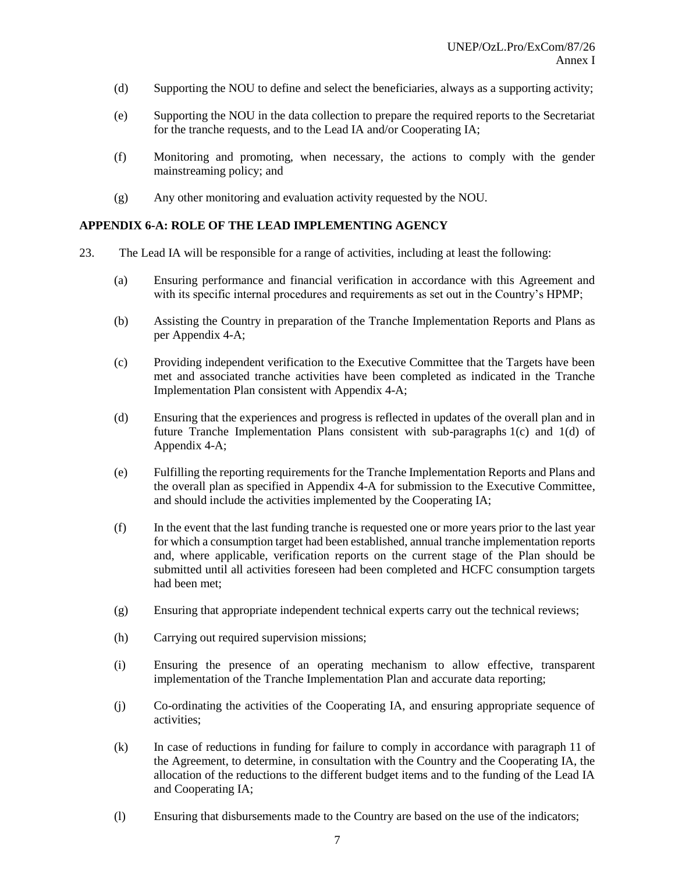- (d) Supporting the NOU to define and select the beneficiaries, always as a supporting activity;
- (e) Supporting the NOU in the data collection to prepare the required reports to the Secretariat for the tranche requests, and to the Lead IA and/or Cooperating IA;
- (f) Monitoring and promoting, when necessary, the actions to comply with the gender mainstreaming policy; and
- (g) Any other monitoring and evaluation activity requested by the NOU.

#### **APPENDIX 6-A: ROLE OF THE LEAD IMPLEMENTING AGENCY**

- 23. The Lead IA will be responsible for a range of activities, including at least the following:
	- (a) Ensuring performance and financial verification in accordance with this Agreement and with its specific internal procedures and requirements as set out in the Country's HPMP;
	- (b) Assisting the Country in preparation of the Tranche Implementation Reports and Plans as per Appendix 4-A;
	- (c) Providing independent verification to the Executive Committee that the Targets have been met and associated tranche activities have been completed as indicated in the Tranche Implementation Plan consistent with Appendix 4-A;
	- (d) Ensuring that the experiences and progress is reflected in updates of the overall plan and in future Tranche Implementation Plans consistent with sub-paragraphs 1(c) and 1(d) of Appendix 4-A;
	- (e) Fulfilling the reporting requirements for the Tranche Implementation Reports and Plans and the overall plan as specified in Appendix 4-A for submission to the Executive Committee, and should include the activities implemented by the Cooperating IA;
	- (f) In the event that the last funding tranche is requested one or more years prior to the last year for which a consumption target had been established, annual tranche implementation reports and, where applicable, verification reports on the current stage of the Plan should be submitted until all activities foreseen had been completed and HCFC consumption targets had been met;
	- (g) Ensuring that appropriate independent technical experts carry out the technical reviews;
	- (h) Carrying out required supervision missions;
	- (i) Ensuring the presence of an operating mechanism to allow effective, transparent implementation of the Tranche Implementation Plan and accurate data reporting;
	- (j) Co-ordinating the activities of the Cooperating IA, and ensuring appropriate sequence of activities;
	- (k) In case of reductions in funding for failure to comply in accordance with paragraph 11 of the Agreement, to determine, in consultation with the Country and the Cooperating IA, the allocation of the reductions to the different budget items and to the funding of the Lead IA and Cooperating IA;
	- (l) Ensuring that disbursements made to the Country are based on the use of the indicators;